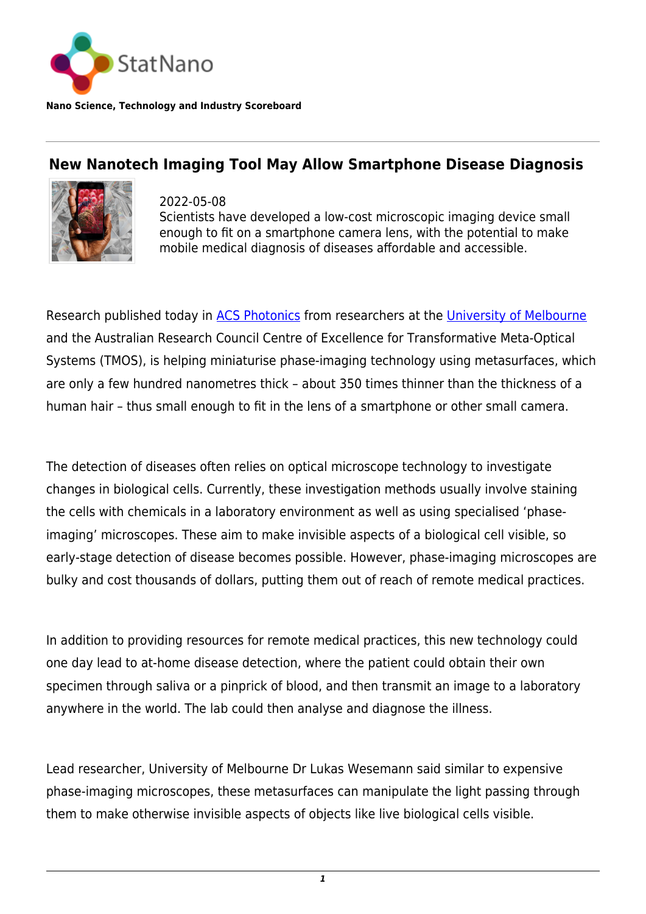

**Nano Science, Technology and Industry Scoreboard**

## **New Nanotech Imaging Tool May Allow Smartphone Disease Diagnosis**



2022-05-08 Scientists have developed a low-cost microscopic imaging device small enough to fit on a smartphone camera lens, with the potential to make mobile medical diagnosis of diseases affordable and accessible.

Research published today in [ACS Photonics](https://pubs.acs.org/doi/10.1021/acsphotonics.2c00346) from researchers at the [University of Melbourne](https://statnano.com/org/University-of-Melbourne) and the Australian Research Council Centre of Excellence for Transformative Meta-Optical Systems (TMOS), is helping miniaturise phase-imaging technology using metasurfaces, which are only a few hundred nanometres thick – about 350 times thinner than the thickness of a human hair – thus small enough to fit in the lens of a smartphone or other small camera.

The detection of diseases often relies on optical microscope technology to investigate changes in biological cells. Currently, these investigation methods usually involve staining the cells with chemicals in a laboratory environment as well as using specialised 'phaseimaging' microscopes. These aim to make invisible aspects of a biological cell visible, so early-stage detection of disease becomes possible. However, phase-imaging microscopes are bulky and cost thousands of dollars, putting them out of reach of remote medical practices.

In addition to providing resources for remote medical practices, this new technology could one day lead to at-home disease detection, where the patient could obtain their own specimen through saliva or a pinprick of blood, and then transmit an image to a laboratory anywhere in the world. The lab could then analyse and diagnose the illness.

Lead researcher, University of Melbourne Dr Lukas Wesemann said similar to expensive phase-imaging microscopes, these metasurfaces can manipulate the light passing through them to make otherwise invisible aspects of objects like live biological cells visible.